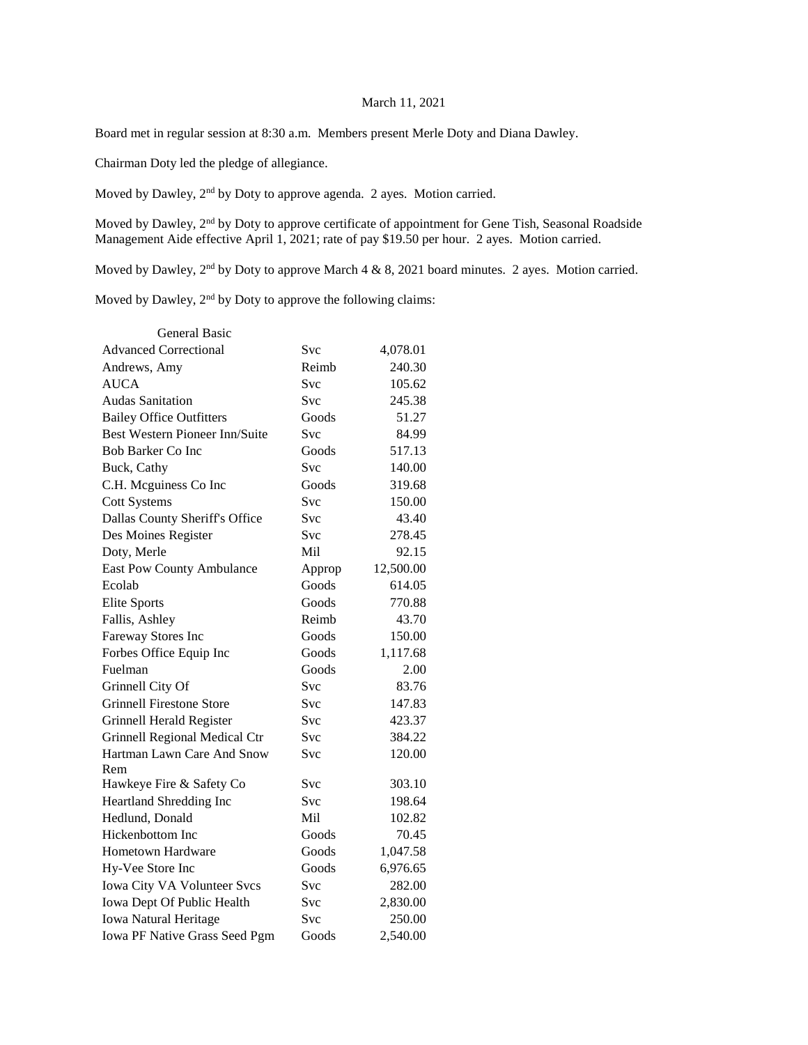## March 11, 2021

Board met in regular session at 8:30 a.m. Members present Merle Doty and Diana Dawley.

Chairman Doty led the pledge of allegiance.

Moved by Dawley, 2nd by Doty to approve agenda. 2 ayes. Motion carried.

Moved by Dawley, 2<sup>nd</sup> by Doty to approve certificate of appointment for Gene Tish, Seasonal Roadside Management Aide effective April 1, 2021; rate of pay \$19.50 per hour. 2 ayes. Motion carried.

Moved by Dawley,  $2<sup>nd</sup>$  by Doty to approve March 4 & 8, 2021 board minutes. 2 ayes. Motion carried.

Moved by Dawley, 2<sup>nd</sup> by Doty to approve the following claims:

| <b>General Basic</b>                  |            |           |
|---------------------------------------|------------|-----------|
| <b>Advanced Correctional</b>          | Svc        | 4,078.01  |
| Andrews, Amy                          | Reimb      | 240.30    |
| <b>AUCA</b>                           | <b>Svc</b> | 105.62    |
| <b>Audas Sanitation</b>               | Svc        | 245.38    |
| <b>Bailey Office Outfitters</b>       | Goods      | 51.27     |
| <b>Best Western Pioneer Inn/Suite</b> | Svc        | 84.99     |
| <b>Bob Barker Co Inc</b>              | Goods      | 517.13    |
| Buck, Cathy                           | <b>Svc</b> | 140.00    |
| C.H. Mcguiness Co Inc                 | Goods      | 319.68    |
| <b>Cott Systems</b>                   | <b>Svc</b> | 150.00    |
| Dallas County Sheriff's Office        | Svc        | 43.40     |
| Des Moines Register                   | Svc        | 278.45    |
| Doty, Merle                           | Mil        | 92.15     |
| <b>East Pow County Ambulance</b>      | Approp     | 12,500.00 |
| Ecolab                                | Goods      | 614.05    |
| <b>Elite Sports</b>                   | Goods      | 770.88    |
| Fallis, Ashley                        | Reimb      | 43.70     |
| Fareway Stores Inc                    | Goods      | 150.00    |
| Forbes Office Equip Inc               | Goods      | 1,117.68  |
| Fuelman                               | Goods      | 2.00      |
| Grinnell City Of                      | Svc        | 83.76     |
| Grinnell Firestone Store              | <b>Svc</b> | 147.83    |
| Grinnell Herald Register              | Svc        | 423.37    |
| Grinnell Regional Medical Ctr         | Svc        | 384.22    |
| Hartman Lawn Care And Snow            | Svc        | 120.00    |
| Rem                                   |            |           |
| Hawkeye Fire & Safety Co              | Svc        | 303.10    |
| Heartland Shredding Inc               | Svc        | 198.64    |
| Hedlund, Donald                       | Mil        | 102.82    |
| Hickenbottom Inc                      | Goods      | 70.45     |
| Hometown Hardware                     | Goods      | 1,047.58  |
| Hy-Vee Store Inc                      | Goods      | 6,976.65  |
| Iowa City VA Volunteer Svcs           | Svc        | 282.00    |
| Iowa Dept Of Public Health            | Svc        | 2,830.00  |
| <b>Iowa Natural Heritage</b>          | Svc        | 250.00    |
| Iowa PF Native Grass Seed Pgm         | Goods      | 2,540.00  |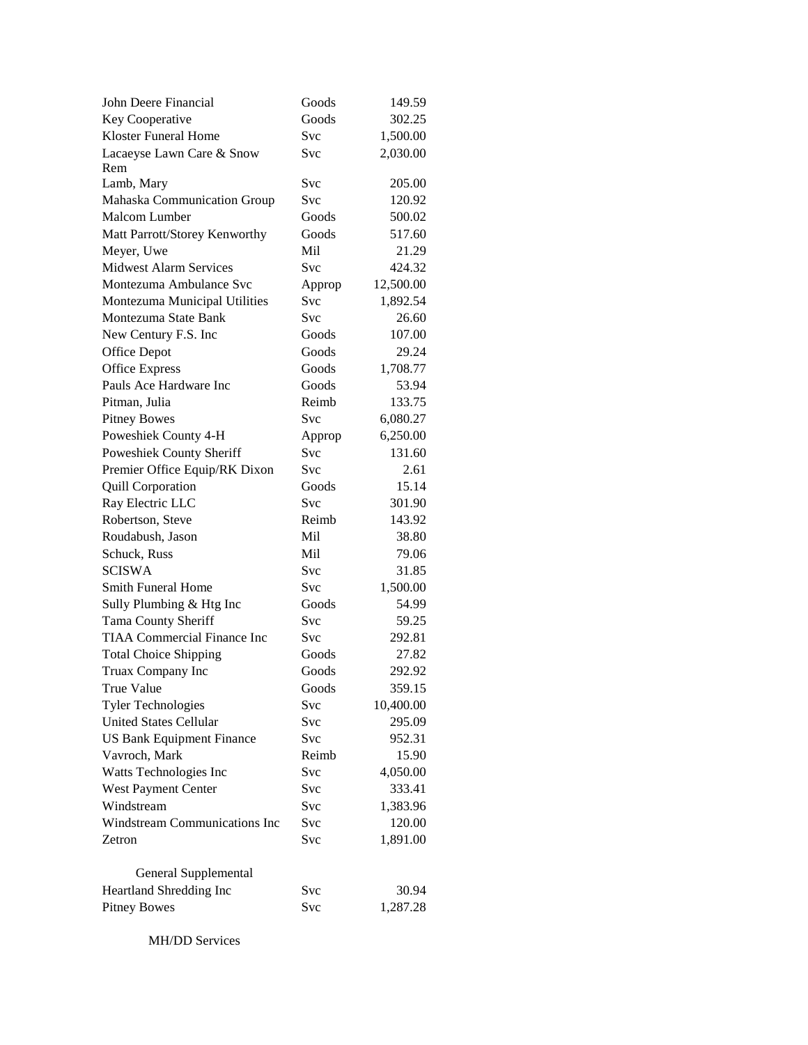| John Deere Financial               | Goods      | 149.59    |
|------------------------------------|------------|-----------|
| Key Cooperative                    | Goods      | 302.25    |
| <b>Kloster Funeral Home</b>        | <b>Svc</b> | 1,500.00  |
| Lacaeyse Lawn Care & Snow          | Svc        | 2,030.00  |
| Rem                                |            |           |
| Lamb, Mary                         | Svc        | 205.00    |
| Mahaska Communication Group        | Svc        | 120.92    |
| Malcom Lumber                      | Goods      | 500.02    |
| Matt Parrott/Storey Kenworthy      | Goods      | 517.60    |
| Meyer, Uwe                         | Mil        | 21.29     |
| <b>Midwest Alarm Services</b>      | Svc        | 424.32    |
| Montezuma Ambulance Svc            | Approp     | 12,500.00 |
| Montezuma Municipal Utilities      | Svc        | 1,892.54  |
| Montezuma State Bank               | Svc        | 26.60     |
| New Century F.S. Inc               | Goods      | 107.00    |
| <b>Office Depot</b>                | Goods      | 29.24     |
| <b>Office Express</b>              | Goods      | 1,708.77  |
| Pauls Ace Hardware Inc             | Goods      | 53.94     |
| Pitman, Julia                      | Reimb      | 133.75    |
| <b>Pitney Bowes</b>                | Svc        | 6,080.27  |
| Poweshiek County 4-H               | Approp     | 6,250.00  |
| Poweshiek County Sheriff           | Svc        | 131.60    |
| Premier Office Equip/RK Dixon      | Svc        | 2.61      |
| <b>Quill Corporation</b>           | Goods      | 15.14     |
| Ray Electric LLC                   | Svc        | 301.90    |
| Robertson, Steve                   | Reimb      | 143.92    |
| Roudabush, Jason                   | Mil        | 38.80     |
| Schuck, Russ                       | Mil        | 79.06     |
| <b>SCISWA</b>                      | Svc        | 31.85     |
| <b>Smith Funeral Home</b>          | Svc        | 1,500.00  |
| Sully Plumbing & Htg Inc           | Goods      | 54.99     |
| Tama County Sheriff                | Svc        | 59.25     |
| <b>TIAA Commercial Finance Inc</b> | <b>Svc</b> | 292.81    |
| <b>Total Choice Shipping</b>       | Goods      | 27.82     |
| Truax Company Inc                  | Goods      | 292.92    |
| True Value                         | Goods      | 359.15    |
| <b>Tyler Technologies</b>          | Svc        | 10,400.00 |
| <b>United States Cellular</b>      | Svc        | 295.09    |
| <b>US Bank Equipment Finance</b>   | Svc        | 952.31    |
| Vavroch, Mark                      | Reimb      | 15.90     |
| Watts Technologies Inc             | Svc        | 4,050.00  |
| West Payment Center                | Svc        | 333.41    |
| Windstream                         | Svc        | 1,383.96  |
| Windstream Communications Inc      | Svc        | 120.00    |
| Zetron                             | Svc        | 1,891.00  |
|                                    |            |           |
| General Supplemental               |            |           |
| Heartland Shredding Inc            | Svc        | 30.94     |
| <b>Pitney Bowes</b>                | Svc        | 1,287.28  |

MH/DD Services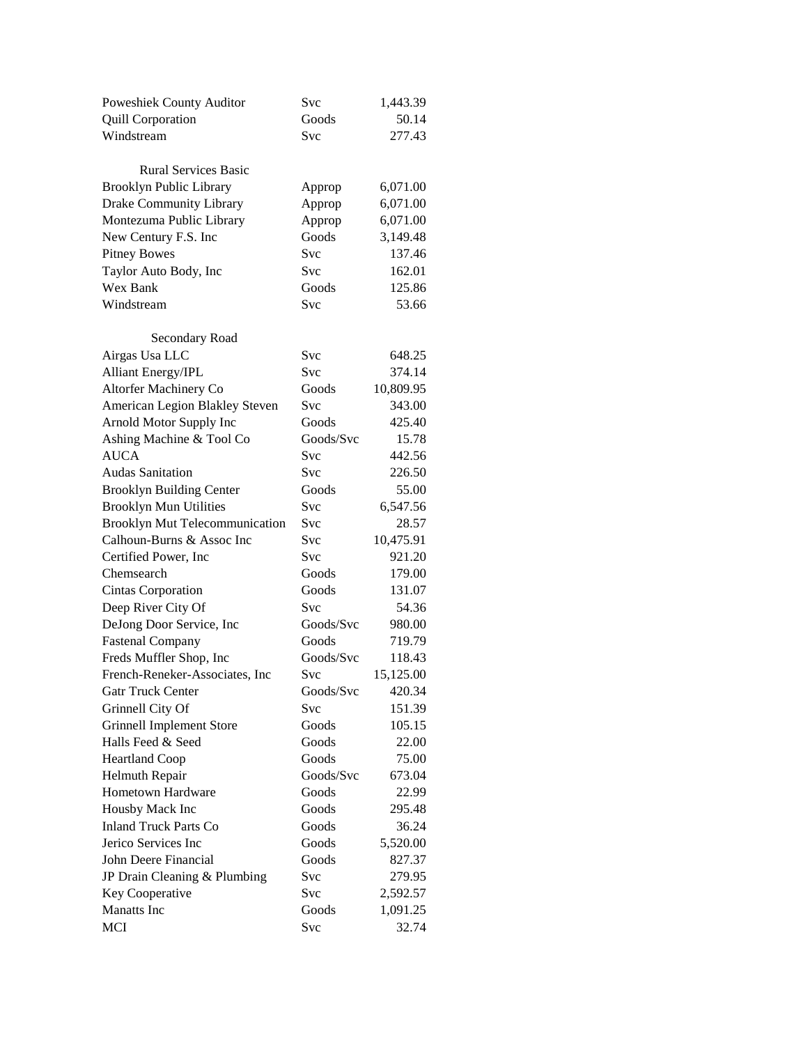| Poweshiek County Auditor              | Svc        | 1,443.39  |  |
|---------------------------------------|------------|-----------|--|
| <b>Quill Corporation</b>              | Goods      | 50.14     |  |
| Windstream                            | Svc        | 277.43    |  |
|                                       |            |           |  |
| <b>Rural Services Basic</b>           |            |           |  |
| <b>Brooklyn Public Library</b>        | Approp     | 6,071.00  |  |
| Drake Community Library               | Approp     | 6,071.00  |  |
| Montezuma Public Library              | Approp     | 6,071.00  |  |
| New Century F.S. Inc                  | Goods      | 3,149.48  |  |
| <b>Pitney Bowes</b>                   | <b>Svc</b> | 137.46    |  |
| Taylor Auto Body, Inc                 | Svc        | 162.01    |  |
| Wex Bank                              | Goods      | 125.86    |  |
| Windstream                            | Svc        | 53.66     |  |
|                                       |            |           |  |
| Secondary Road                        |            |           |  |
| Airgas Usa LLC                        | Svc        | 648.25    |  |
| Alliant Energy/IPL                    | <b>Svc</b> | 374.14    |  |
| Altorfer Machinery Co                 | Goods      | 10,809.95 |  |
| American Legion Blakley Steven        | Svc        | 343.00    |  |
| Arnold Motor Supply Inc               | Goods      | 425.40    |  |
| Ashing Machine & Tool Co              | Goods/Svc  | 15.78     |  |
| <b>AUCA</b>                           | Svc        | 442.56    |  |
| <b>Audas Sanitation</b>               | Svc        | 226.50    |  |
| <b>Brooklyn Building Center</b>       | Goods      | 55.00     |  |
| <b>Brooklyn Mun Utilities</b>         | Svc        | 6,547.56  |  |
| <b>Brooklyn Mut Telecommunication</b> | Svc        | 28.57     |  |
| Calhoun-Burns & Assoc Inc             | <b>Svc</b> | 10,475.91 |  |
| Certified Power, Inc.                 | Svc        | 921.20    |  |
| Chemsearch                            | Goods      | 179.00    |  |
| <b>Cintas Corporation</b>             | Goods      | 131.07    |  |
| Deep River City Of                    | Svc        | 54.36     |  |
| DeJong Door Service, Inc              | Goods/Svc  | 980.00    |  |
| <b>Fastenal Company</b>               | Goods      | 719.79    |  |
| Freds Muffler Shop, Inc               | Goods/Svc  | 118.43    |  |
| French-Reneker-Associates, Inc        | Svc        | 15,125.00 |  |
| <b>Gatr Truck Center</b>              | Goods/Svc  | 420.34    |  |
| Grinnell City Of                      | Svc        | 151.39    |  |
| <b>Grinnell Implement Store</b>       | Goods      | 105.15    |  |
| Halls Feed & Seed                     | Goods      | 22.00     |  |
| <b>Heartland Coop</b>                 | Goods      | 75.00     |  |
| Helmuth Repair                        | Goods/Svc  | 673.04    |  |
| Hometown Hardware                     | Goods      | 22.99     |  |
| Housby Mack Inc                       | Goods      | 295.48    |  |
|                                       | Goods      |           |  |
| <b>Inland Truck Parts Co</b>          |            | 36.24     |  |
| Jerico Services Inc                   | Goods      | 5,520.00  |  |
| John Deere Financial                  | Goods      | 827.37    |  |
| JP Drain Cleaning & Plumbing          | Svc        | 279.95    |  |
| Key Cooperative                       | Svc        | 2,592.57  |  |
| <b>Manatts</b> Inc                    | Goods      | 1,091.25  |  |
| MCI                                   | Svc        | 32.74     |  |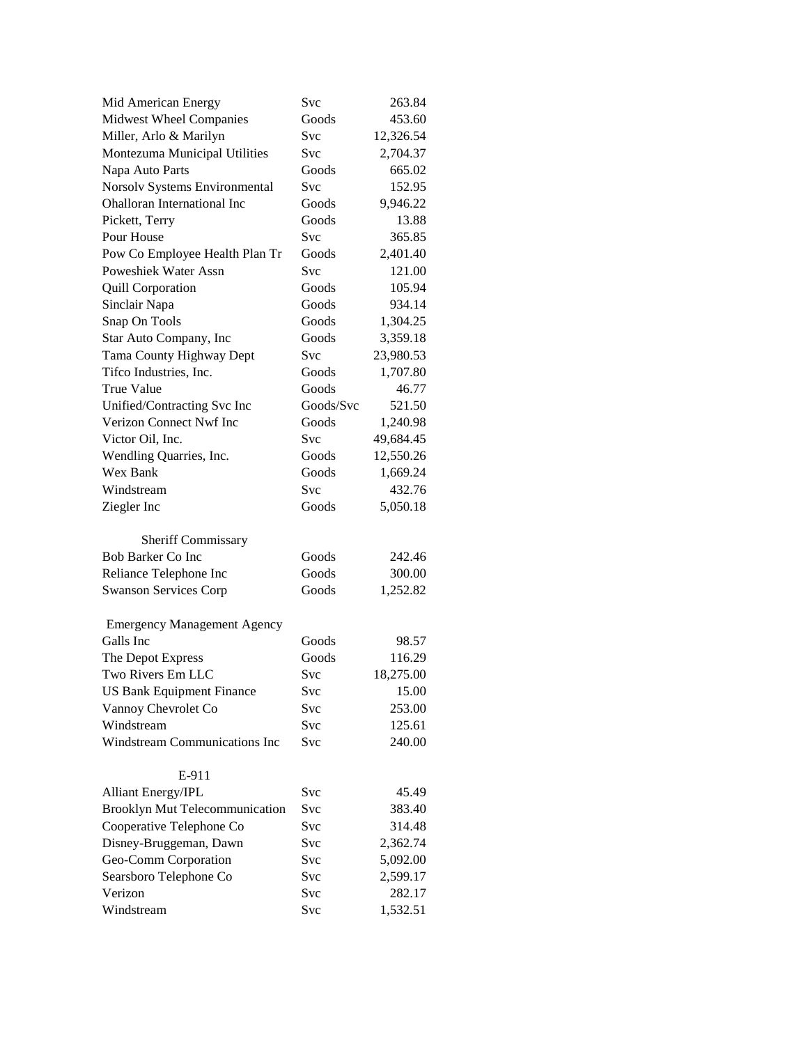| Mid American Energy                   | Svc        | 263.84    |
|---------------------------------------|------------|-----------|
| Midwest Wheel Companies               | Goods      | 453.60    |
| Miller, Arlo & Marilyn                | Svc        | 12,326.54 |
| Montezuma Municipal Utilities         | Svc        | 2,704.37  |
| Napa Auto Parts                       | Goods      | 665.02    |
| Norsolv Systems Environmental         | Svc        | 152.95    |
| Ohalloran International Inc           | Goods      | 9,946.22  |
| Pickett, Terry                        | Goods      | 13.88     |
| Pour House                            | Svc        | 365.85    |
| Pow Co Employee Health Plan Tr        | Goods      | 2,401.40  |
| <b>Poweshiek Water Assn</b>           | Svc        | 121.00    |
| <b>Quill Corporation</b>              | Goods      | 105.94    |
| Sinclair Napa                         | Goods      | 934.14    |
| Snap On Tools                         | Goods      | 1,304.25  |
| Star Auto Company, Inc                | Goods      | 3,359.18  |
| Tama County Highway Dept              | Svc        | 23,980.53 |
| Tifco Industries, Inc.                | Goods      | 1,707.80  |
| <b>True Value</b>                     | Goods      | 46.77     |
| Unified/Contracting Svc Inc           | Goods/Svc  | 521.50    |
| Verizon Connect Nwf Inc               | Goods      | 1,240.98  |
| Victor Oil, Inc.                      | Svc        | 49,684.45 |
| Wendling Quarries, Inc.               | Goods      | 12,550.26 |
| Wex Bank                              | Goods      | 1,669.24  |
| Windstream                            | Svc        | 432.76    |
| Ziegler Inc                           | Goods      | 5,050.18  |
| <b>Sheriff Commissary</b>             |            |           |
| <b>Bob Barker Co Inc</b>              | Goods      | 242.46    |
| Reliance Telephone Inc                | Goods      | 300.00    |
| <b>Swanson Services Corp</b>          | Goods      | 1,252.82  |
| <b>Emergency Management Agency</b>    |            |           |
| Galls Inc                             | Goods      | 98.57     |
| The Depot Express                     | Goods      | 116.29    |
| Two Rivers Em LLC                     | <b>Svc</b> | 18,275.00 |
| <b>US Bank Equipment Finance</b>      | Svc        | 15.00     |
| Vannoy Chevrolet Co                   | Svc        | 253.00    |
| Windstream                            | Svc        | 125.61    |
| Windstream Communications Inc         | Svc        | 240.00    |
| E-911                                 |            |           |
| Alliant Energy/IPL                    | Svc        | 45.49     |
| <b>Brooklyn Mut Telecommunication</b> | Svc        | 383.40    |
| Cooperative Telephone Co              | Svc        | 314.48    |
| Disney-Bruggeman, Dawn                | <b>Svc</b> | 2,362.74  |
| Geo-Comm Corporation                  | Svc        | 5,092.00  |
| Searsboro Telephone Co                | Svc        | 2,599.17  |
| Verizon                               | Svc        | 282.17    |
| Windstream                            | Svc        | 1,532.51  |